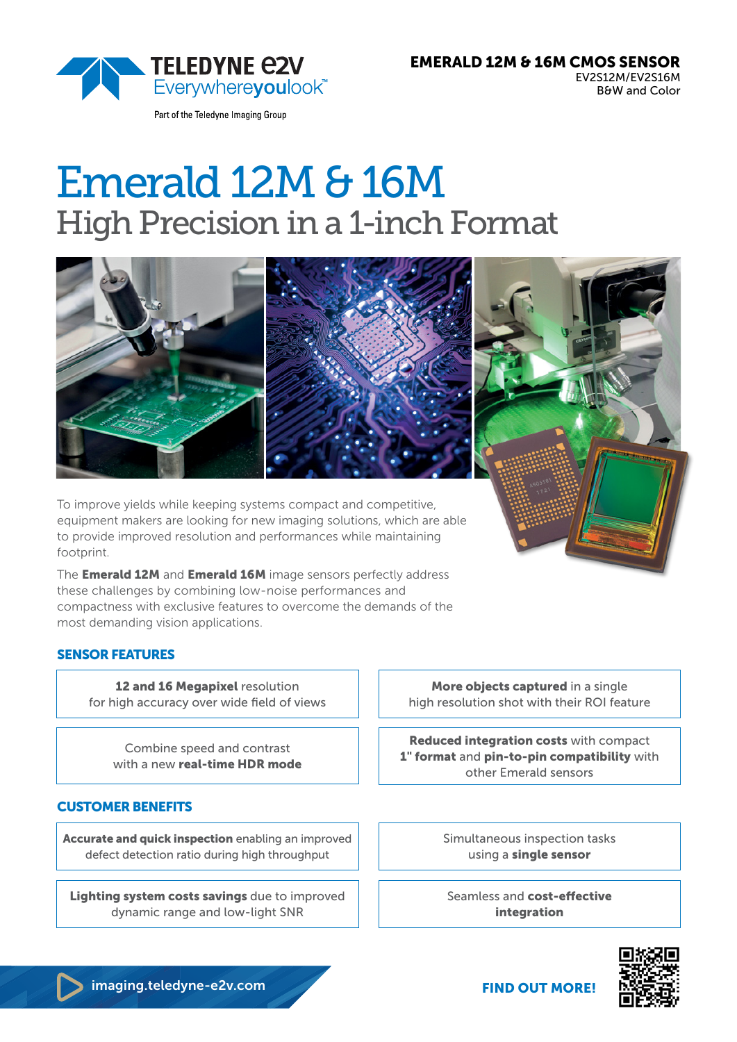

Part of the Teledyne Imaging Group

# Emerald 12M & 16M High Precision in a 1-inch Format



To improve yields while keeping systems compact and competitive, equipment makers are looking for new imaging solutions, which are able to provide improved resolution and performances while maintaining footprint.

The **Emerald 12M** and **Emerald 16M** image sensors perfectly address these challenges by combining low-noise performances and compactness with exclusive features to overcome the demands of the most demanding vision applications.

## SENSOR FEATURES

12 and 16 Megapixel resolution for high accuracy over wide field of views

> Combine speed and contrast with a new real-time HDR mode

#### CUSTOMER BENEFITS

Accurate and quick inspection enabling an improved defect detection ratio during high throughput

Lighting system costs savings due to improved dynamic range and low-light SNR

More objects captured in a single high resolution shot with their ROI feature

Reduced integration costs with compact 1" format and pin-to-pin compatibility with other Emerald sensors

> Simultaneous inspection tasks using a single sensor

Seamless and cost-effective integration



imaging.teledyne-e2v.com

FIND OUT MORE!